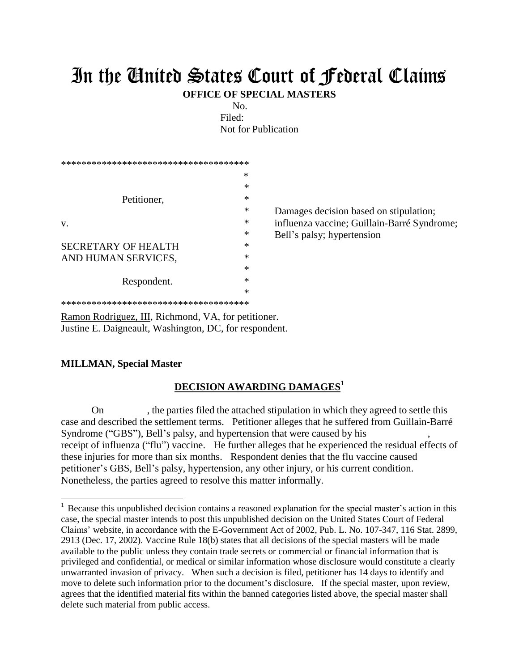## In the United States Court of Federal Claims

**OFFICE OF SPECIAL MASTERS**

No. Filed: Not for Publication

|                                        | ∗ |       |
|----------------------------------------|---|-------|
|                                        | ∗ |       |
| Petitioner,                            | ∗ |       |
|                                        | ∗ | Dam   |
| V.                                     | * | influ |
|                                        | * | Bell  |
| <b>SECRETARY OF HEALTH</b>             | ∗ |       |
| AND HUMAN SERVICES,                    | ∗ |       |
|                                        | * |       |
| Respondent.                            | * |       |
|                                        | * |       |
| ************************************** |   |       |

hages decision based on stipulation; enza vaccine; Guillain-Barré Syndrome; 's palsy; hypertension

Ramon Rodriguez, III, Richmond, VA, for petitioner. Justine E. Daigneault, Washington, DC, for respondent.

## **MILLMAN, Special Master**

 $\overline{a}$ 

## **DECISION AWARDING DAMAGES<sup>1</sup>**

On , the parties filed the attached stipulation in which they agreed to settle this case and described the settlement terms. Petitioner alleges that he suffered from Guillain-Barré Syndrome ("GBS"), Bell's palsy, and hypertension that were caused by his receipt of influenza ("flu") vaccine. He further alleges that he experienced the residual effects of these injuries for more than six months. Respondent denies that the flu vaccine caused petitioner's GBS, Bell's palsy, hypertension, any other injury, or his current condition. Nonetheless, the parties agreed to resolve this matter informally.

<sup>&</sup>lt;sup>1</sup> Because this unpublished decision contains a reasoned explanation for the special master's action in this case, the special master intends to post this unpublished decision on the United States Court of Federal Claims' website, in accordance with the E-Government Act of 2002, Pub. L. No. 107-347, 116 Stat. 2899, 2913 (Dec. 17, 2002). Vaccine Rule 18(b) states that all decisions of the special masters will be made available to the public unless they contain trade secrets or commercial or financial information that is privileged and confidential, or medical or similar information whose disclosure would constitute a clearly unwarranted invasion of privacy. When such a decision is filed, petitioner has 14 days to identify and move to delete such information prior to the document's disclosure. If the special master, upon review, agrees that the identified material fits within the banned categories listed above, the special master shall delete such material from public access.